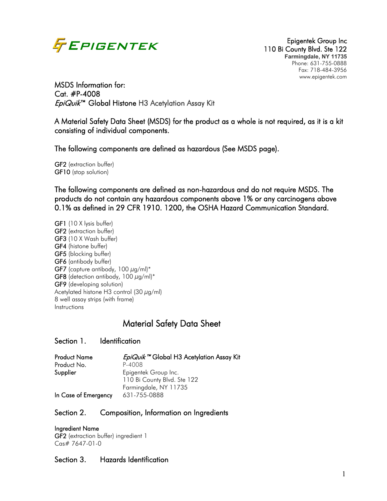

110 Bi County Blvd. Ste 122 **Farmingdale, NY 11735** Phone: 631-755-0888 Fax: 718-484-3956 www.epigentek.com

MSDS Information for: Cat. #P-4008 *EpiQuik*™ Global Histone H3 Acetylation Assay Kit

A Material Safety Data Sheet (MSDS) for the product as a whole is not required, as it is a kit consisting of individual components.

The following components are defined as hazardous (See MSDS page).

GF2 (extraction buffer) GF10 (stop solution)

The following components are defined as non-hazardous and do not require MSDS. The products do not contain any hazardous components above 1% or any carcinogens above 0.1% as defined in 29 CFR 1910. 1200, the OSHA Hazard Communication Standard.

GF1 (10 X Ivsis buffer) GF2 (extraction buffer) GF3 (10 X Wash buffer) GF4 (histone buffer) GF5 (blocking buffer) GF6 (antibody buffer) GF7 (capture antibody, 100  $\mu$ g/ml)\* GF8 (detection antibody, 100  $\mu$ g/ml)\* GF9 (developing solution) Acetylated histone H3 control (30  $\mu$ g/ml) 8 well assay strips (with frame) Instructions

# Material Safety Data Sheet

#### Section 1. Identification

| <b>Product Name</b>  | <i>EpiQuik</i> <sup>™</sup> Global H3 Acetylation Assay Kit |
|----------------------|-------------------------------------------------------------|
| Product No.          | P-4008                                                      |
| Supplier             | Epigentek Group Inc.                                        |
|                      | 110 Bi County Blvd. Ste 122                                 |
|                      | Farmingdale, NY 11735                                       |
| In Case of Emergency | 631-755-0888                                                |

#### Section 2. Composition, Information on Ingredients

Ingredient Name GF2 (extraction buffer) ingredient 1 Cas# 7647-01-0

#### Section 3. Hazards Identification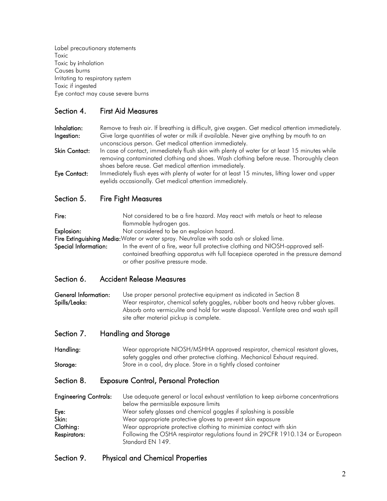Label precautionary statements Toxic Toxic by inhalation Causes burns Irritating to respiratory system Toxic if ingested Eye contact may cause severe burns

# Section 4. First Aid Measures

Inhalation: Remove to fresh air. If breathing is difficult, give oxygen. Get medical attention immediately. Ingestion: Give large quantities of water or milk if available. Never give anything by mouth to an unconscious person. Get medical attention immediately.

Skin Contact: In case of contact, immediately flush skin with plenty of water for at least 15 minutes while removing contaminated clothing and shoes. Wash clothing before reuse. Thoroughly clean shoes before reuse. Get medical attention immediately.

Eye Contact: Immediately flush eyes with plenty of water for at least 15 minutes, lifting lower and upper eyelids occasionally. Get medical attention immediately.

# Section 5. Fire Fight Measures

Fire: Not considered to be a fire hazard. May react with metals or heat to release flammable hydrogen gas. Explosion: Not considered to be an explosion hazard. Fire Extinguishing Media: Water or water spray. Neutralize with soda ash or slaked lime. Special Information: In the event of a fire, wear full protective clothing and NIOSH-approved selfcontained breathing apparatus with full facepiece operated in the pressure demand or other positive pressure mode.

#### Section 6. Accident Release Measures

General Information: Use proper personal protective equipment as indicated in Section 8 Spills/Leaks: Wear respirator, chemical safety goggles, rubber boots and heavy rubber gloves. Absorb onto vermiculite and hold for waste disposal. Ventilate area and wash spill site after material pickup is complete.

#### Section 7. Handling and Storage

Handling: Wear appropriate NIOSH/MSHHA approved respirator, chemical resistant gloves, safety goggles and other protective clothing. Mechanical Exhaust required. Storage: Store in a cool, dry place. Store in a tightly closed container

#### Section 8. Exposure Control, Personal Protection

Engineering Controls: Use adequate general or local exhaust ventilation to keep airborne concentrations below the permissible exposure limits Eye: Wear safety glasses and chemical goggles if splashing is possible Skin: Wear appropriate protective gloves to prevent skin exposure Clothing: Wear appropriate protective clothing to minimize contact with skin Respirators: Following the OSHA respirator regulations found in 29CFR 1910.134 or European Standard EN 149.

#### Section 9. Physical and Chemical Properties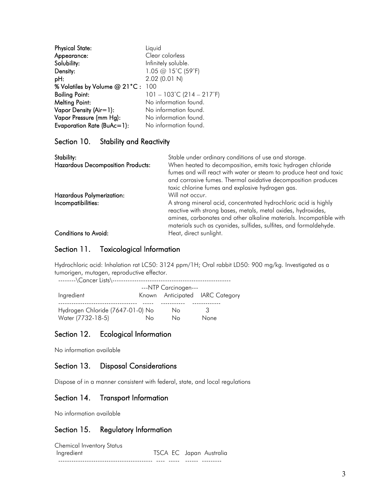| <b>Physical State:</b>         | Liquid                                         |
|--------------------------------|------------------------------------------------|
| Appearance:                    | Clear colorless                                |
| Solubility:                    | Infinitely soluble.                            |
| Density:                       | 1.05 @ 15°C (59°F)                             |
| pH:                            | $2.02$ (0.01 N)                                |
| % Volatiles by Volume @ 21°C : | 100                                            |
| <b>Boiling Point:</b>          | $101 - 103^{\circ}$ C (214 - 217 $^{\circ}$ F) |
| <b>Melting Point:</b>          | No information found.                          |
| Vapor Density (Air=1):         | No information found.                          |
| Vapor Pressure (mm Hg):        | No information found.                          |
| Evaporation Rate (BuAc=1):     | No information found.                          |

# Section 10. Stability and Reactivity

| Stability:<br><b>Hazardous Decomposition Products:</b> | Stable under ordinary conditions of use and storage.<br>When heated to decomposition, emits toxic hydrogen chloride<br>fumes and will react with water or steam to produce heat and toxic<br>and corrosive fumes. Thermal oxidative decomposition produces                    |
|--------------------------------------------------------|-------------------------------------------------------------------------------------------------------------------------------------------------------------------------------------------------------------------------------------------------------------------------------|
| Hazardous Polymerization:<br>Incompatibilities:        | toxic chlorine fumes and explosive hydrogen gas.<br>Will not occur.<br>A strong mineral acid, concentrated hydrochloric acid is highly<br>reactive with strong bases, metals, metal oxides, hydroxides,<br>amines, carbonates and other alkaline materials. Incompatible with |
| <b>Conditions to Avoid:</b>                            | materials such as cyanides, sulfides, sulfites, and formaldehyde.<br>Heat, direct sunlight.                                                                                                                                                                                   |

#### Section 11. Toxicological Information

Hydrochloric acid: Inhalation rat LC50: 3124 ppm/1H; Oral rabbit LD50: 900 mg/kg. Investigated as a tumorigen, mutagen, reproductive effector.

| --------\Cancer Lists\--         |    |                      |                                 |
|----------------------------------|----|----------------------|---------------------------------|
|                                  |    | ---NTP Carcinogen--- |                                 |
| Ingredient                       |    |                      | Known Anticipated IARC Category |
| Hydrogen Chloride (7647-01-0) No |    | Nο                   | 3                               |
| Water (7732-18-5)                | Nο | Nο                   | None                            |

# Section 12. Ecological Information

No information available

#### Section 13. Disposal Considerations

Dispose of in a manner consistent with federal, state, and local regulations

#### Section 14. Transport Information

No information available

#### Section 15. Regulatory Information

| Chemical Inventory Status |                         |
|---------------------------|-------------------------|
| Ingredient                | TSCA EC Japan Australia |
|                           |                         |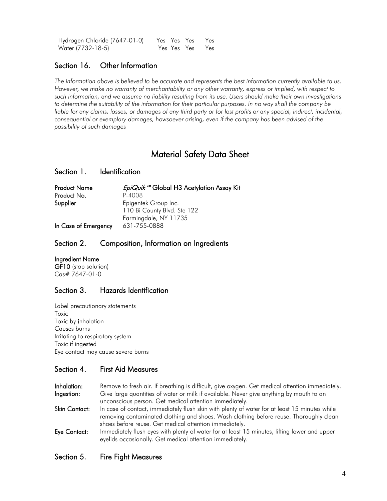| Hydrogen Chloride (7647-01-0) |  | Yes Yes Yes Yes |
|-------------------------------|--|-----------------|
| Water (7732-18-5)             |  | Yes Yes Yes Yes |

# Section 16. Other Information

The information above is believed to be accurate and represents the best information currently available to us. *However, we make no warranty of merchantability or any other warranty, express or implied, with respect to such information, and we assume no liability resulting from its use. Users should make their own investigations*  to determine the suitability of the information for their particular purposes. In no way shall the company be *liable for any claims, losses, or damages of any third party or for lost profits or any special, indirect, incidental, consequential or exemplary damages, howsoever arising, even if the company has been advised of the possibility of such damages*

# Material Safety Data Sheet

#### Section 1. Identification

| <b>Product Name</b>  | <i>EpiQuik</i> ™ Global H3 Acetylation Assay Kit |  |
|----------------------|--------------------------------------------------|--|
| Product No.          | P-4008                                           |  |
| Supplier             | Epigentek Group Inc.                             |  |
|                      | 110 Bi County Blvd. Ste 122                      |  |
|                      | Farmingdale, NY 11735                            |  |
| In Case of Emergency | 631-755-0888                                     |  |

#### Section 2. Composition, Information on Ingredients

#### Ingredient Name

GF10 (stop solution) Cas# 7647-01-0

# Section 3. Hazards Identification

Label precautionary statements Toxic Toxic by inhalation Causes burns Irritating to respiratory system Toxic if ingested Eye contact may cause severe burns

# Section 4. First Aid Measures

Inhalation: Remove to fresh air. If breathing is difficult, give oxygen. Get medical attention immediately. Ingestion: Give large quantities of water or milk if available. Never give anything by mouth to an unconscious person. Get medical attention immediately.

Skin Contact: In case of contact, immediately flush skin with plenty of water for at least 15 minutes while removing contaminated clothing and shoes. Wash clothing before reuse. Thoroughly clean shoes before reuse. Get medical attention immediately.

Eye Contact: Immediately flush eyes with plenty of water for at least 15 minutes, lifting lower and upper eyelids occasionally. Get medical attention immediately.

# Section 5. Fire Fight Measures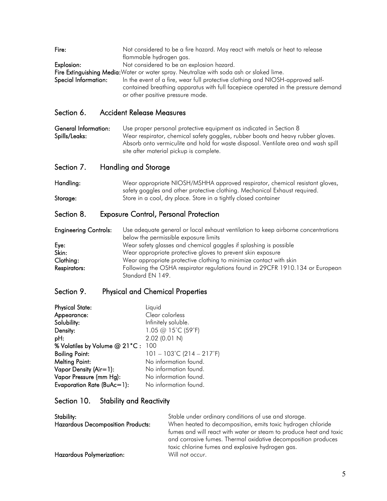| Fire:                | Not considered to be a fire hazard. May react with metals or heat to release<br>flammable hydrogen gas.                                                                                                 |
|----------------------|---------------------------------------------------------------------------------------------------------------------------------------------------------------------------------------------------------|
| Explosion:           | Not considered to be an explosion hazard.                                                                                                                                                               |
|                      | Fire Extinguishing Media: Water or water spray. Neutralize with soda ash or slaked lime.                                                                                                                |
| Special Information: | In the event of a fire, wear full protective clothing and NIOSH-approved self-<br>contained breathing apparatus with full facepiece operated in the pressure demand<br>or other positive pressure mode. |

# Section 6. Accident Release Measures

General Information: Use proper personal protective equipment as indicated in Section 8 Spills/Leaks: Wear respirator, chemical safety goggles, rubber boots and heavy rubber gloves. Absorb onto vermiculite and hold for waste disposal. Ventilate area and wash spill site after material pickup is complete.

Section 7. Handling and Storage

Handling: Wear appropriate NIOSH/MSHHA approved respirator, chemical resistant gloves, safety goggles and other protective clothing. Mechanical Exhaust required. Storage: Store in a cool, dry place. Store in a tightly closed container

# Section 8. Exposure Control, Personal Protection

| <b>Engineering Controls:</b> | Use adequate general or local exhaust ventilation to keep airborne concentrations |
|------------------------------|-----------------------------------------------------------------------------------|
|                              | below the permissible exposure limits                                             |
| Eye:                         | Wear safety glasses and chemical goggles if splashing is possible                 |
| Skin:                        | Wear appropriate protective gloves to prevent skin exposure                       |
| Clothing:                    | Wear appropriate protective clothing to minimize contact with skin                |
| Respirators:                 | Following the OSHA respirator regulations found in 29CFR 1910.134 or European     |
|                              | Standard EN 149.                                                                  |

#### Section 9. Physical and Chemical Properties

| <b>Physical State:</b>            | Liquid                                         |
|-----------------------------------|------------------------------------------------|
| Appearance:                       | Clear colorless                                |
| Solubility:                       | Infinitely soluble.                            |
| Density:                          | 1.05 @ 15°C (59°F)                             |
| pH:                               | 2.02 (0.01 N)                                  |
| % Volatiles by Volume @ 21°C: 100 |                                                |
| <b>Boiling Point:</b>             | $101 - 103^{\circ}$ C (214 - 217 $^{\circ}$ F) |
| <b>Melting Point:</b>             | No information found.                          |
| Vapor Density (Air=1):            | No information found.                          |
| Vapor Pressure (mm Hg):           | No information found.                          |
| Evaporation Rate (BuAc=1):        | No information found.                          |

#### Section 10. Stability and Reactivity

| Stability:                               | Stable under ordinary conditions of use and storage.                                                                                |
|------------------------------------------|-------------------------------------------------------------------------------------------------------------------------------------|
| <b>Hazardous Decomposition Products:</b> | When heated to decomposition, emits toxic hydrogen chloride                                                                         |
|                                          | fumes and will react with water or steam to produce heat and toxic<br>and corrosive fumes. Thermal oxidative decomposition produces |
|                                          | toxic chlorine fumes and explosive hydrogen gas.                                                                                    |
| <b>Hazardous Polymerization:</b>         | Will not occur.                                                                                                                     |